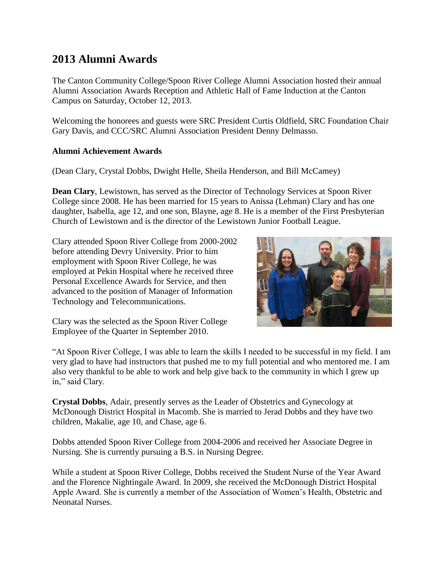# **2013 Alumni Awards**

The Canton Community College/Spoon River College Alumni Association hosted their annual Alumni Association Awards Reception and Athletic Hall of Fame Induction at the Canton Campus on Saturday, October 12, 2013.

Welcoming the honorees and guests were SRC President Curtis Oldfield, SRC Foundation Chair Gary Davis, and CCC/SRC Alumni Association President Denny Delmasso.

# **Alumni Achievement Awards**

(Dean Clary, Crystal Dobbs, Dwight Helle, Sheila Henderson, and Bill McCamey)

**Dean Clary**, Lewistown, has served as the Director of Technology Services at Spoon River College since 2008. He has been married for 15 years to Anissa (Lehman) Clary and has one daughter, Isabella, age 12, and one son, Blayne, age 8. He is a member of the First Presbyterian Church of Lewistown and is the director of the Lewistown Junior Football League.

Clary attended Spoon River College from 2000-2002 before attending Devry University. Prior to him employment with Spoon River College, he was employed at Pekin Hospital where he received three Personal Excellence Awards for Service, and then advanced to the position of Manager of Information Technology and Telecommunications.



Clary was the selected as the Spoon River College Employee of the Quarter in September 2010.

"At Spoon River College, I was able to learn the skills I needed to be successful in my field. I am very glad to have had instructors that pushed me to my full potential and who mentored me. I am also very thankful to be able to work and help give back to the community in which I grew up in," said Clary.

**Crystal Dobbs**, Adair, presently serves as the Leader of Obstetrics and Gynecology at McDonough District Hospital in Macomb. She is married to Jerad Dobbs and they have two children, Makalie, age 10, and Chase, age 6.

Dobbs attended Spoon River College from 2004-2006 and received her Associate Degree in Nursing. She is currently pursuing a B.S. in Nursing Degree.

While a student at Spoon River College, Dobbs received the Student Nurse of the Year Award and the Florence Nightingale Award. In 2009, she received the McDonough District Hospital Apple Award. She is currently a member of the Association of Women's Health, Obstetric and Neonatal Nurses.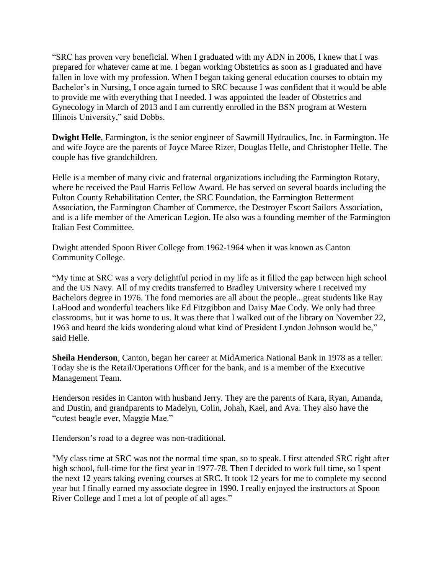"SRC has proven very beneficial. When I graduated with my ADN in 2006, I knew that I was prepared for whatever came at me. I began working Obstetrics as soon as I graduated and have fallen in love with my profession. When I began taking general education courses to obtain my Bachelor's in Nursing, I once again turned to SRC because I was confident that it would be able to provide me with everything that I needed. I was appointed the leader of Obstetrics and Gynecology in March of 2013 and I am currently enrolled in the BSN program at Western Illinois University," said Dobbs.

**Dwight Helle**, Farmington, is the senior engineer of Sawmill Hydraulics, Inc. in Farmington. He and wife Joyce are the parents of Joyce Maree Rizer, Douglas Helle, and Christopher Helle. The couple has five grandchildren.

Helle is a member of many civic and fraternal organizations including the Farmington Rotary, where he received the Paul Harris Fellow Award. He has served on several boards including the Fulton County Rehabilitation Center, the SRC Foundation, the Farmington Betterment Association, the Farmington Chamber of Commerce, the Destroyer Escort Sailors Association, and is a life member of the American Legion. He also was a founding member of the Farmington Italian Fest Committee.

Dwight attended Spoon River College from 1962-1964 when it was known as Canton Community College.

"My time at SRC was a very delightful period in my life as it filled the gap between high school and the US Navy. All of my credits transferred to Bradley University where I received my Bachelors degree in 1976. The fond memories are all about the people...great students like Ray LaHood and wonderful teachers like Ed Fitzgibbon and Daisy Mae Cody. We only had three classrooms, but it was home to us. It was there that I walked out of the library on November 22, 1963 and heard the kids wondering aloud what kind of President Lyndon Johnson would be," said Helle.

**Sheila Henderson**, Canton, began her career at MidAmerica National Bank in 1978 as a teller. Today she is the Retail/Operations Officer for the bank, and is a member of the Executive Management Team.

Henderson resides in Canton with husband Jerry. They are the parents of Kara, Ryan, Amanda, and Dustin, and grandparents to Madelyn, Colin, Johah, Kael, and Ava. They also have the "cutest beagle ever, Maggie Mae."

Henderson's road to a degree was non-traditional.

"My class time at SRC was not the normal time span, so to speak. I first attended SRC right after high school, full-time for the first year in 1977-78. Then I decided to work full time, so I spent the next 12 years taking evening courses at SRC. It took 12 years for me to complete my second year but I finally earned my associate degree in 1990. I really enjoyed the instructors at Spoon River College and I met a lot of people of all ages."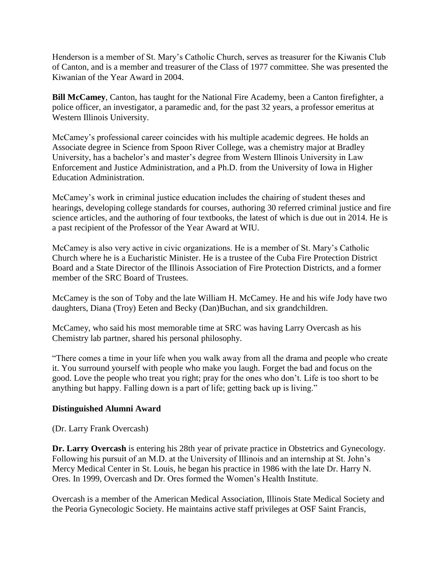Henderson is a member of St. Mary's Catholic Church, serves as treasurer for the Kiwanis Club of Canton, and is a member and treasurer of the Class of 1977 committee. She was presented the Kiwanian of the Year Award in 2004.

**Bill McCamey**, Canton, has taught for the National Fire Academy, been a Canton firefighter, a police officer, an investigator, a paramedic and, for the past 32 years, a professor emeritus at Western Illinois University.

McCamey's professional career coincides with his multiple academic degrees. He holds an Associate degree in Science from Spoon River College, was a chemistry major at Bradley University, has a bachelor's and master's degree from Western Illinois University in Law Enforcement and Justice Administration, and a Ph.D. from the University of Iowa in Higher Education Administration.

McCamey's work in criminal justice education includes the chairing of student theses and hearings, developing college standards for courses, authoring 30 referred criminal justice and fire science articles, and the authoring of four textbooks, the latest of which is due out in 2014. He is a past recipient of the Professor of the Year Award at WIU.

McCamey is also very active in civic organizations. He is a member of St. Mary's Catholic Church where he is a Eucharistic Minister. He is a trustee of the Cuba Fire Protection District Board and a State Director of the Illinois Association of Fire Protection Districts, and a former member of the SRC Board of Trustees.

McCamey is the son of Toby and the late William H. McCamey. He and his wife Jody have two daughters, Diana (Troy) Eeten and Becky (Dan)Buchan, and six grandchildren.

McCamey, who said his most memorable time at SRC was having Larry Overcash as his Chemistry lab partner, shared his personal philosophy.

"There comes a time in your life when you walk away from all the drama and people who create it. You surround yourself with people who make you laugh. Forget the bad and focus on the good. Love the people who treat you right; pray for the ones who don't. Life is too short to be anything but happy. Falling down is a part of life; getting back up is living."

# **Distinguished Alumni Award**

(Dr. Larry Frank Overcash)

**Dr. Larry Overcash** is entering his 28th year of private practice in Obstetrics and Gynecology. Following his pursuit of an M.D. at the University of Illinois and an internship at St. John's Mercy Medical Center in St. Louis, he began his practice in 1986 with the late Dr. Harry N. Ores. In 1999, Overcash and Dr. Ores formed the Women's Health Institute.

Overcash is a member of the American Medical Association, Illinois State Medical Society and the Peoria Gynecologic Society. He maintains active staff privileges at OSF Saint Francis,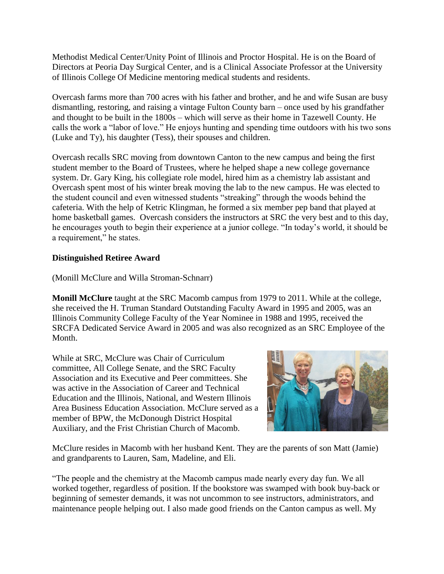Methodist Medical Center/Unity Point of Illinois and Proctor Hospital. He is on the Board of Directors at Peoria Day Surgical Center, and is a Clinical Associate Professor at the University of Illinois College Of Medicine mentoring medical students and residents.

Overcash farms more than 700 acres with his father and brother, and he and wife Susan are busy dismantling, restoring, and raising a vintage Fulton County barn – once used by his grandfather and thought to be built in the 1800s – which will serve as their home in Tazewell County. He calls the work a "labor of love." He enjoys hunting and spending time outdoors with his two sons (Luke and Ty), his daughter (Tess), their spouses and children.

Overcash recalls SRC moving from downtown Canton to the new campus and being the first student member to the Board of Trustees, where he helped shape a new college governance system. Dr. Gary King, his collegiate role model, hired him as a chemistry lab assistant and Overcash spent most of his winter break moving the lab to the new campus. He was elected to the student council and even witnessed students "streaking" through the woods behind the cafeteria. With the help of Ketric Klingman, he formed a six member pep band that played at home basketball games. Overcash considers the instructors at SRC the very best and to this day, he encourages youth to begin their experience at a junior college. "In today's world, it should be a requirement," he states.

### **Distinguished Retiree Award**

(Monill McClure and Willa Stroman-Schnarr)

**Monill McClure** taught at the SRC Macomb campus from 1979 to 2011. While at the college, she received the H. Truman Standard Outstanding Faculty Award in 1995 and 2005, was an Illinois Community College Faculty of the Year Nominee in 1988 and 1995, received the SRCFA Dedicated Service Award in 2005 and was also recognized as an SRC Employee of the Month.

While at SRC, McClure was Chair of Curriculum committee, All College Senate, and the SRC Faculty Association and its Executive and Peer committees. She was active in the Association of Career and Technical Education and the Illinois, National, and Western Illinois Area Business Education Association. McClure served as a member of BPW, the McDonough District Hospital Auxiliary, and the Frist Christian Church of Macomb.



McClure resides in Macomb with her husband Kent. They are the parents of son Matt (Jamie) and grandparents to Lauren, Sam, Madeline, and Eli.

"The people and the chemistry at the Macomb campus made nearly every day fun. We all worked together, regardless of position. If the bookstore was swamped with book buy-back or beginning of semester demands, it was not uncommon to see instructors, administrators, and maintenance people helping out. I also made good friends on the Canton campus as well. My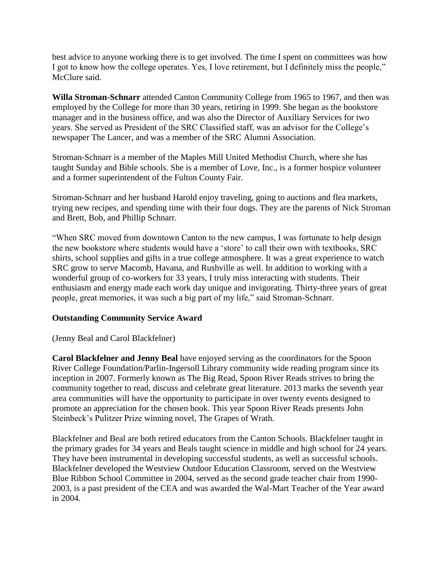best advice to anyone working there is to get involved. The time I spent on committees was how I got to know how the college operates. Yes, I love retirement, but I definitely miss the people," McClure said.

**Willa Stroman-Schnarr** attended Canton Community College from 1965 to 1967, and then was employed by the College for more than 30 years, retiring in 1999. She began as the bookstore manager and in the business office, and was also the Director of Auxiliary Services for two years. She served as President of the SRC Classified staff, was an advisor for the College's newspaper The Lancer, and was a member of the SRC Alumni Association.

Stroman-Schnarr is a member of the Maples Mill United Methodist Church, where she has taught Sunday and Bible schools. She is a member of Love, Inc., is a former hospice volunteer and a former superintendent of the Fulton County Fair.

Stroman-Schnarr and her husband Harold enjoy traveling, going to auctions and flea markets, trying new recipes, and spending time with their four dogs. They are the parents of Nick Stroman and Brett, Bob, and Phillip Schnarr.

"When SRC moved from downtown Canton to the new campus, I was fortunate to help design the new bookstore where students would have a 'store' to call their own with textbooks, SRC shirts, school supplies and gifts in a true college atmosphere. It was a great experience to watch SRC grow to serve Macomb, Havana, and Rushville as well. In addition to working with a wonderful group of co-workers for 33 years, I truly miss interacting with students. Their enthusiasm and energy made each work day unique and invigorating. Thirty-three years of great people, great memories, it was such a big part of my life," said Stroman-Schnarr.

# **Outstanding Community Service Award**

(Jenny Beal and Carol Blackfelner)

**Carol Blackfelner and Jenny Beal** have enjoyed serving as the coordinators for the Spoon River College Foundation/Parlin-Ingersoll Library community wide reading program since its inception in 2007. Formerly known as The Big Read, Spoon River Reads strives to bring the community together to read, discuss and celebrate great literature. 2013 marks the seventh year area communities will have the opportunity to participate in over twenty events designed to promote an appreciation for the chosen book. This year Spoon River Reads presents John Steinbeck's Pulitzer Prize winning novel, The Grapes of Wrath.

Blackfelner and Beal are both retired educators from the Canton Schools. Blackfelner taught in the primary grades for 34 years and Beals taught science in middle and high school for 24 years. They have been instrumental in developing successful students, as well as successful schools. Blackfelner developed the Westview Outdoor Education Classroom, served on the Westview Blue Ribbon School Committee in 2004, served as the second grade teacher chair from 1990- 2003, is a past president of the CEA and was awarded the Wal-Mart Teacher of the Year award in 2004.